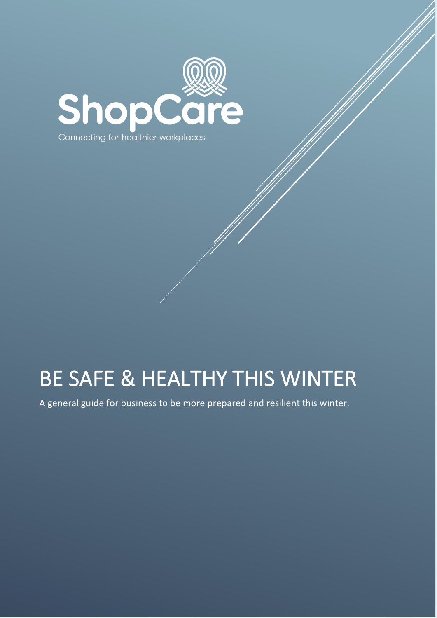

# BE SAFE & HEALTHY THIS WINTER

A general guide for business to be more prepared and resilient this winter.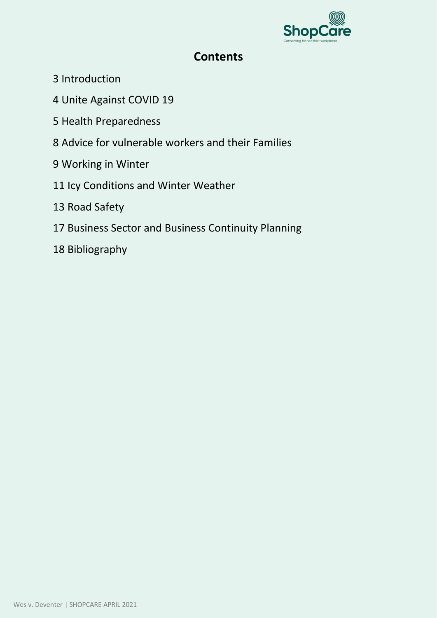

# **Contents**

- 3 Introduction
- 4 Unite Against COVID 19
- 5 Health Preparedness
- 8 Advice for vulnerable workers and their Families
- 9 Working in Winter
- 11 Icy Conditions and Winter Weather
- 13 Road Safety
- 17 Business Sector and Business Continuity Planning
- 18 Bibliography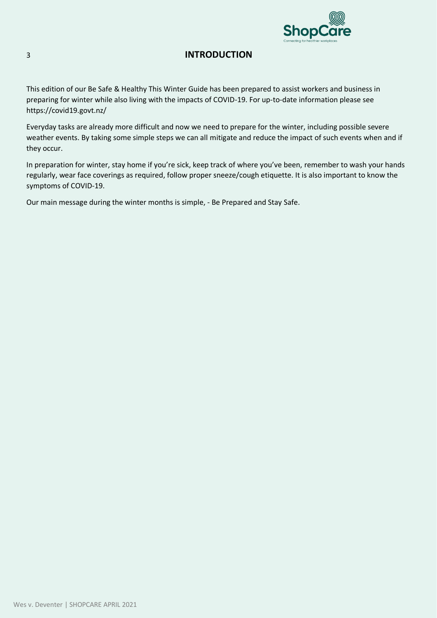

## 3 **INTRODUCTION**

This edition of our Be Safe & Healthy This Winter Guide has been prepared to assist workers and business in preparing for winter while also living with the impacts of COVID-19. For up-to-date information please see https://covid19.govt.nz/

Everyday tasks are already more difficult and now we need to prepare for the winter, including possible severe weather events. By taking some simple steps we can all mitigate and reduce the impact of such events when and if they occur.

In preparation for winter, stay home if you're sick, keep track of where you've been, remember to wash your hands regularly, wear face coverings as required, follow proper sneeze/cough etiquette. It is also important to know the symptoms of COVID-19.

Our main message during the winter months is simple, - Be Prepared and Stay Safe.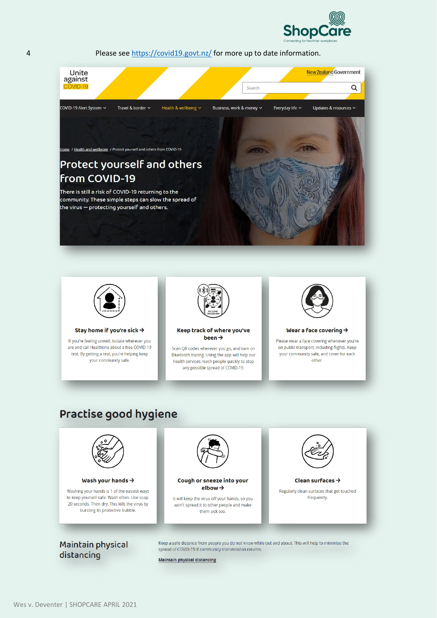



to keep yourself safe. Wash often, Use soap. 20 seconds. Then dry. This kills the virus by bursting its protective bubble

Maintain physical distancing

Keep a safe distance from people you do not know while out and about. This will help to minimise the spread of COVID-19 if community transmission returns.

frequently.

**Maintain physical distancing** 

It will keep the virus off your hands, so you

won't spread it to other people and make

them sick too.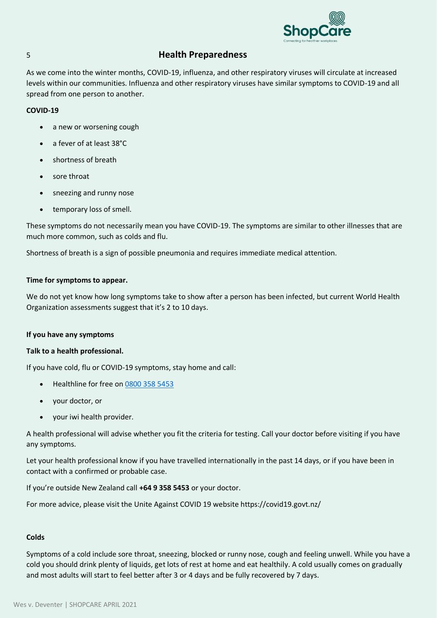

## 5 **Health Preparedness**

As we come into the winter months, COVID-19, influenza, and other respiratory viruses will circulate at increased levels within our communities. Influenza and other respiratory viruses have similar symptoms to COVID-19 and all spread from one person to another.

#### **COVID-19**

- a new or worsening cough
- a fever of at least 38°C
- shortness of breath
- sore throat
- sneezing and runny nose
- temporary loss of smell.

These symptoms do not necessarily mean you have COVID-19. The symptoms are similar to other illnesses that are much more common, such as colds and flu.

Shortness of breath is a sign of possible pneumonia and requires immediate medical attention.

#### **Time for symptoms to appear.**

We do not yet know how long symptoms take to show after a person has been infected, but current World Health Organization assessments suggest that it's 2 to 10 days.

#### **If you have any symptoms**

#### **Talk to a health professional.**

If you have cold, flu or COVID-19 symptoms, stay home and call:

- Healthline for free on [0800 358 5453](tel:08003585453)
- your doctor, or
- your iwi health provider.

A health professional will advise whether you fit the criteria for testing. Call your doctor before visiting if you have any symptoms.

Let your health professional know if you have travelled internationally in the past 14 days, or if you have been in contact with a confirmed or probable case.

If you're outside New Zealand call **+64 9 358 5453** or your doctor.

For more advice, please visit the Unite Against COVID 19 website https://covid19.govt.nz/

#### **Colds**

Symptoms of a cold include sore throat, sneezing, blocked or runny nose, cough and feeling unwell. While you have a cold you should drink plenty of liquids, get lots of rest at home and eat healthily. A cold usually comes on gradually and most adults will start to feel better after 3 or 4 days and be fully recovered by 7 days.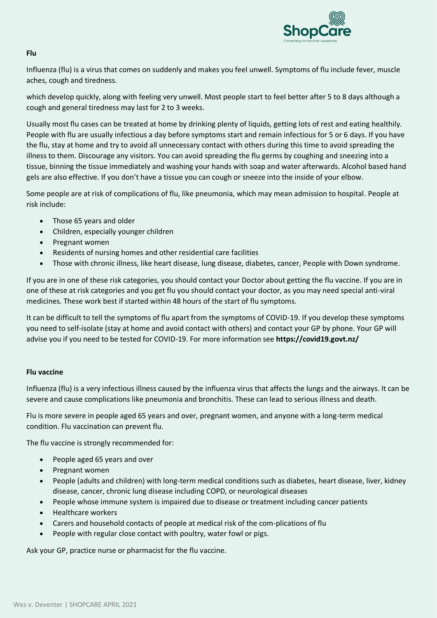

#### **Flu**

Influenza (flu) is a virus that comes on suddenly and makes you feel unwell. Symptoms of flu include fever, muscle aches, cough and tiredness.

which develop quickly, along with feeling very unwell. Most people start to feel better after 5 to 8 days although a cough and general tiredness may last for 2 to 3 weeks.

Usually most flu cases can be treated at home by drinking plenty of liquids, getting lots of rest and eating healthily. People with flu are usually infectious a day before symptoms start and remain infectious for 5 or 6 days. If you have the flu, stay at home and try to avoid all unnecessary contact with others during this time to avoid spreading the illness to them. Discourage any visitors. You can avoid spreading the flu germs by coughing and sneezing into a tissue, binning the tissue immediately and washing your hands with soap and water afterwards. Alcohol based hand gels are also effective. If you don't have a tissue you can cough or sneeze into the inside of your elbow.

Some people are at risk of complications of flu, like pneumonia, which may mean admission to hospital. People at risk include:

- Those 65 years and older
- Children, especially younger children
- Pregnant women
- Residents of nursing homes and other residential care facilities
- Those with chronic illness, like heart disease, lung disease, diabetes, cancer, People with Down syndrome.

If you are in one of these risk categories, you should contact your Doctor about getting the flu vaccine. If you are in one of these at risk categories and you get flu you should contact your doctor, as you may need special anti-viral medicines. These work best if started within 48 hours of the start of flu symptoms.

It can be difficult to tell the symptoms of flu apart from the symptoms of COVID-19. If you develop these symptoms you need to self-isolate (stay at home and avoid contact with others) and contact your GP by phone. Your GP will advise you if you need to be tested for COVID-19. For more information see **https://covid19.govt.nz/**

#### **Flu vaccine**

Influenza (flu) is a very infectious illness caused by the influenza virus that affects the lungs and the airways. It can be severe and cause complications like pneumonia and bronchitis. These can lead to serious illness and death.

Flu is more severe in people aged 65 years and over, pregnant women, and anyone with a long-term medical condition. Flu vaccination can prevent flu.

The flu vaccine is strongly recommended for:

- People aged 65 years and over
- Pregnant women
- People (adults and children) with long-term medical conditions such as diabetes, heart disease, liver, kidney disease, cancer, chronic lung disease including COPD, or neurological diseases
- People whose immune system is impaired due to disease or treatment including cancer patients
- Healthcare workers
- Carers and household contacts of people at medical risk of the com-plications of flu
- People with regular close contact with poultry, water fowl or pigs.

Ask your GP, practice nurse or pharmacist for the flu vaccine.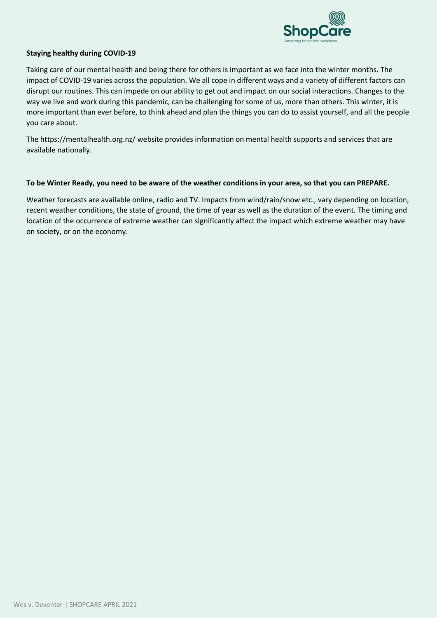

#### **Staying healthy during COVID-19**

Taking care of our mental health and being there for others is important as we face into the winter months. The impact of COVID-19 varies across the population. We all cope in different ways and a variety of different factors can disrupt our routines. This can impede on our ability to get out and impact on our social interactions. Changes to the way we live and work during this pandemic, can be challenging for some of us, more than others. This winter, it is more important than ever before, to think ahead and plan the things you can do to assist yourself, and all the people you care about.

The https://mentalhealth.org.nz/ website provides information on mental health supports and services that are available nationally.

#### **To be Winter Ready, you need to be aware of the weather conditions in your area, so that you can PREPARE.**

Weather forecasts are available online, radio and TV. Impacts from wind/rain/snow etc., vary depending on location, recent weather conditions, the state of ground, the time of year as well as the duration of the event. The timing and location of the occurrence of extreme weather can significantly affect the impact which extreme weather may have on society, or on the economy.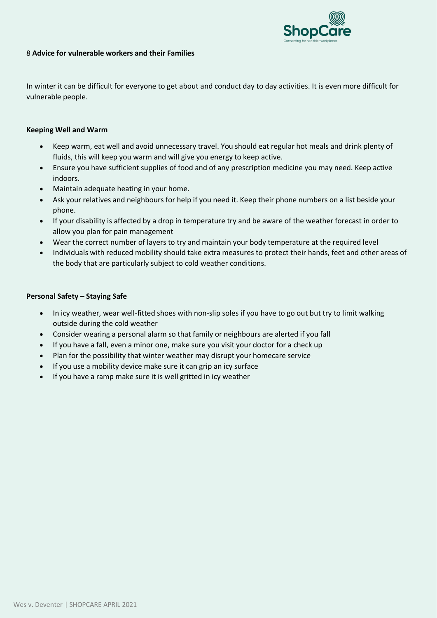

### 8 **Advice for vulnerable workers and their Families**

In winter it can be difficult for everyone to get about and conduct day to day activities. It is even more difficult for vulnerable people.

#### **Keeping Well and Warm**

- Keep warm, eat well and avoid unnecessary travel. You should eat regular hot meals and drink plenty of fluids, this will keep you warm and will give you energy to keep active.
- Ensure you have sufficient supplies of food and of any prescription medicine you may need. Keep active indoors.
- Maintain adequate heating in your home.
- Ask your relatives and neighbours for help if you need it. Keep their phone numbers on a list beside your phone.
- If your disability is affected by a drop in temperature try and be aware of the weather forecast in order to allow you plan for pain management
- Wear the correct number of layers to try and maintain your body temperature at the required level
- Individuals with reduced mobility should take extra measures to protect their hands, feet and other areas of the body that are particularly subject to cold weather conditions.

#### **Personal Safety – Staying Safe**

- In icy weather, wear well-fitted shoes with non-slip soles if you have to go out but try to limit walking outside during the cold weather
- Consider wearing a personal alarm so that family or neighbours are alerted if you fall
- If you have a fall, even a minor one, make sure you visit your doctor for a check up
- Plan for the possibility that winter weather may disrupt your homecare service
- If you use a mobility device make sure it can grip an icy surface
- If you have a ramp make sure it is well gritted in icy weather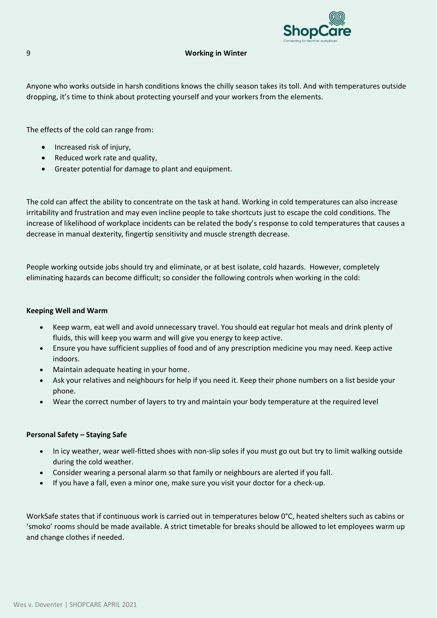

#### 9 **Working in Winter**

Anyone who works outside in harsh conditions knows the chilly season takes its toll. And with temperatures outside dropping, it's time to think about protecting yourself and your workers from the elements.

The effects of the cold can range from:

- Increased risk of injury,
- Reduced work rate and quality,
- Greater potential for damage to plant and equipment.

The cold can affect the ability to concentrate on the task at hand. Working in cold temperatures can also increase irritability and frustration and may even incline people to take shortcuts just to escape the cold conditions. The increase of likelihood of workplace incidents can be related the body's response to cold temperatures that causes a decrease in manual dexterity, fingertip sensitivity and muscle strength decrease.

People working outside jobs should try and eliminate, or at best isolate, cold hazards. However, completely eliminating hazards can become difficult; so consider the following controls when working in the cold:

#### **Keeping Well and Warm**

- Keep warm, eat well and avoid unnecessary travel. You should eat regular hot meals and drink plenty of fluids, this will keep you warm and will give you energy to keep active.
- Ensure you have sufficient supplies of food and of any prescription medicine you may need. Keep active indoors.
- Maintain adequate heating in your home.
- Ask your relatives and neighbours for help if you need it. Keep their phone numbers on a list beside your phone.
- Wear the correct number of layers to try and maintain your body temperature at the required level

#### **Personal Safety – Staying Safe**

- In icy weather, wear well-fitted shoes with non-slip soles if you must go out but try to limit walking outside during the cold weather.
- Consider wearing a personal alarm so that family or neighbours are alerted if you fall.
- If you have a fall, even a minor one, make sure you visit your doctor for a check-up.

WorkSafe states that if continuous work is carried out in temperatures below 0°C, heated shelters such as cabins or 'smoko' rooms should be made available. A strict timetable for breaks should be allowed to let employees warm up and change clothes if needed.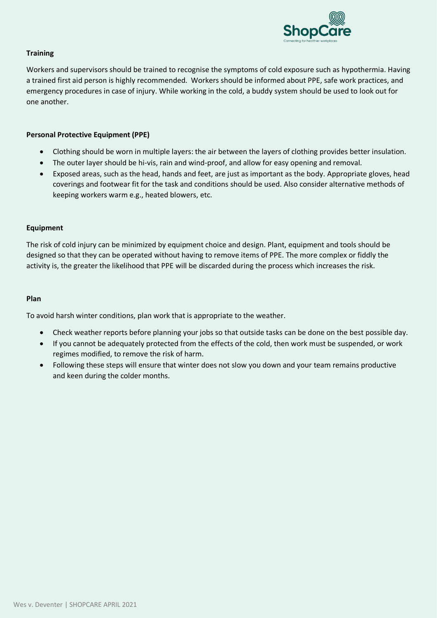

#### **Training**

Workers and supervisors should be trained to recognise the symptoms of cold exposure such as hypothermia. Having a trained first aid person is highly recommended. Workers should be informed about PPE, safe work practices, and emergency procedures in case of injury. While working in the cold, a buddy system should be used to look out for one another.

#### **Personal Protective Equipment (PPE)**

- Clothing should be worn in multiple layers: the air between the layers of clothing provides better insulation.
- The outer layer should be hi-vis, rain and wind-proof, and allow for easy opening and removal.
- Exposed areas, such as the head, hands and feet, are just as important as the body. Appropriate gloves, head coverings and footwear fit for the task and conditions should be used. Also consider alternative methods of keeping workers warm e.g., heated blowers, etc.

#### **Equipment**

The risk of cold injury can be minimized by equipment choice and design. Plant, equipment and tools should be designed so that they can be operated without having to remove items of PPE. The more complex or fiddly the activity is, the greater the likelihood that PPE will be discarded during the process which increases the risk.

#### **Plan**

To avoid harsh winter conditions, plan work that is appropriate to the weather.

- Check weather reports before planning your jobs so that outside tasks can be done on the best possible day.
- If you cannot be adequately protected from the effects of the cold, then work must be suspended, or work regimes modified, to remove the risk of harm.
- Following these steps will ensure that winter does not slow you down and your team remains productive and keen during the colder months.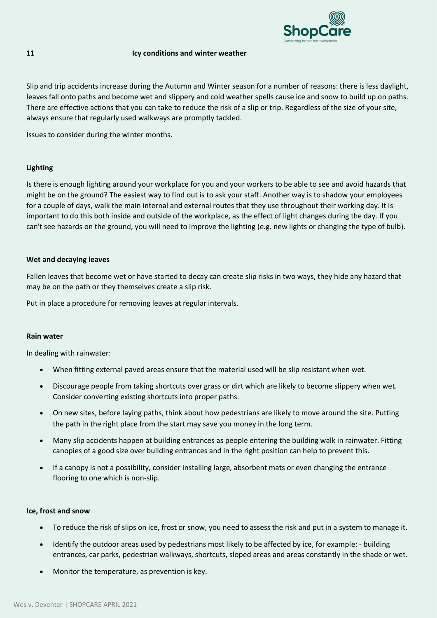

#### **11 Icy conditions and winter weather**

Slip and trip accidents increase during the Autumn and Winter season for a number of reasons: there is less daylight, leaves fall onto paths and become wet and slippery and cold weather spells cause ice and snow to build up on paths. There are effective actions that you can take to reduce the risk of a slip or trip. Regardless of the size of your site, always ensure that regularly used walkways are promptly tackled.

Issues to consider during the winter months.

#### **Lighting**

Is there is enough lighting around your workplace for you and your workers to be able to see and avoid hazards that might be on the ground? The easiest way to find out is to ask your staff. Another way is to shadow your employees for a couple of days, walk the main internal and external routes that they use throughout their working day. It is important to do this both inside and outside of the workplace, as the effect of light changes during the day. If you can't see hazards on the ground, you will need to improve the lighting (e.g. new lights or changing the type of bulb).

#### **Wet and decaying leaves**

Fallen leaves that become wet or have started to decay can create slip risks in two ways, they hide any hazard that may be on the path or they themselves create a slip risk.

Put in place a procedure for removing leaves at regular intervals.

#### **Rain water**

In dealing with rainwater:

- When fitting external paved areas ensure that the material used will be slip resistant when wet.
- Discourage people from taking shortcuts over grass or dirt which are likely to become slippery when wet. Consider converting existing shortcuts into proper paths.
- On new sites, before laying paths, think about how pedestrians are likely to move around the site. Putting the path in the right place from the start may save you money in the long term.
- Many slip accidents happen at building entrances as people entering the building walk in rainwater. Fitting canopies of a good size over building entrances and in the right position can help to prevent this.
- If a canopy is not a possibility, consider installing large, absorbent mats or even changing the entrance flooring to one which is non-slip.

#### **Ice, frost and snow**

- To reduce the risk of slips on ice, frost or snow, you need to assess the risk and put in a system to manage it.
- Identify the outdoor areas used by pedestrians most likely to be affected by ice, for example: building entrances, car parks, pedestrian walkways, shortcuts, sloped areas and areas constantly in the shade or wet.
- Monitor the temperature, as prevention is key.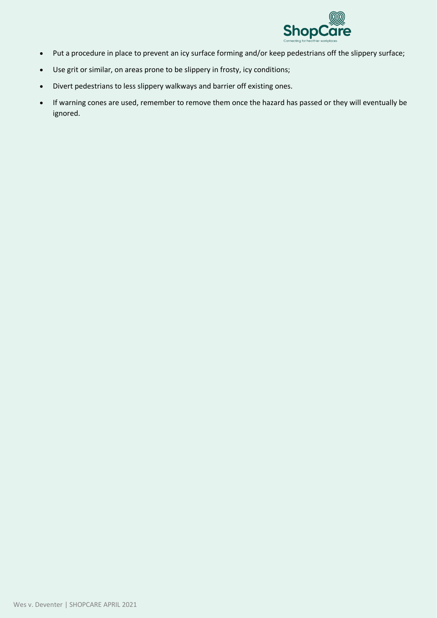

- Put a procedure in place to prevent an icy surface forming and/or keep pedestrians off the slippery surface;
- Use grit or similar, on areas prone to be slippery in frosty, icy conditions;
- Divert pedestrians to less slippery walkways and barrier off existing ones.
- If warning cones are used, remember to remove them once the hazard has passed or they will eventually be ignored.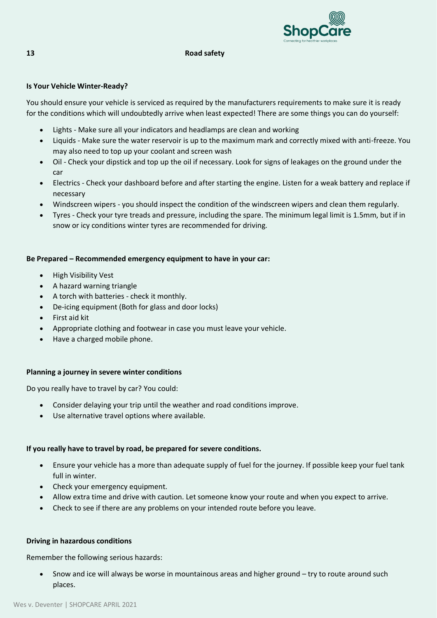

#### **13 Road safety**

#### **Is Your Vehicle Winter-Ready?**

You should ensure your vehicle is serviced as required by the manufacturers requirements to make sure it is ready for the conditions which will undoubtedly arrive when least expected! There are some things you can do yourself:

- Lights Make sure all your indicators and headlamps are clean and working
- Liquids Make sure the water reservoir is up to the maximum mark and correctly mixed with anti-freeze. You may also need to top up your coolant and screen wash
- Oil Check your dipstick and top up the oil if necessary. Look for signs of leakages on the ground under the car
- Electrics Check your dashboard before and after starting the engine. Listen for a weak battery and replace if necessary
- Windscreen wipers you should inspect the condition of the windscreen wipers and clean them regularly.
- Tyres Check your tyre treads and pressure, including the spare. The minimum legal limit is 1.5mm, but if in snow or icy conditions winter tyres are recommended for driving.

#### **Be Prepared – Recommended emergency equipment to have in your car:**

- High Visibility Vest
- A hazard warning triangle
- A torch with batteries check it monthly.
- De-icing equipment (Both for glass and door locks)
- First aid kit
- Appropriate clothing and footwear in case you must leave your vehicle.
- Have a charged mobile phone.

#### **Planning a journey in severe winter conditions**

Do you really have to travel by car? You could:

- Consider delaying your trip until the weather and road conditions improve.
- Use alternative travel options where available.

#### **If you really have to travel by road, be prepared for severe conditions.**

- Ensure your vehicle has a more than adequate supply of fuel for the journey. If possible keep your fuel tank full in winter.
- Check your emergency equipment.
- Allow extra time and drive with caution. Let someone know your route and when you expect to arrive.
- Check to see if there are any problems on your intended route before you leave.

#### **Driving in hazardous conditions**

Remember the following serious hazards:

• Snow and ice will always be worse in mountainous areas and higher ground – try to route around such places.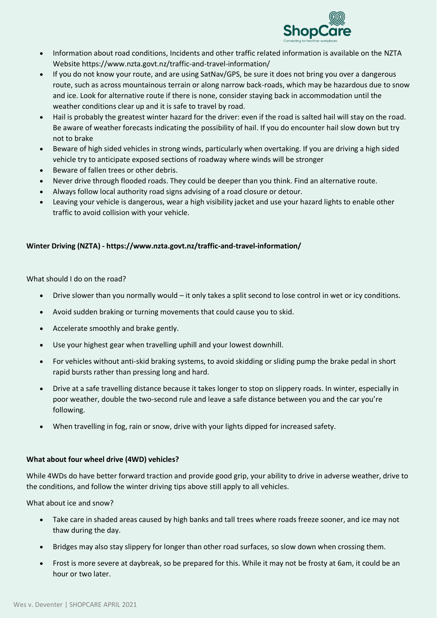

- Information about road conditions, Incidents and other traffic related information is available on the NZTA Website https://www.nzta.govt.nz/traffic-and-travel-information/
- If you do not know your route, and are using SatNav/GPS, be sure it does not bring you over a dangerous route, such as across mountainous terrain or along narrow back-roads, which may be hazardous due to snow and ice. Look for alternative route if there is none, consider staying back in accommodation until the weather conditions clear up and it is safe to travel by road.
- Hail is probably the greatest winter hazard for the driver: even if the road is salted hail will stay on the road. Be aware of weather forecasts indicating the possibility of hail. If you do encounter hail slow down but try not to brake
- Beware of high sided vehicles in strong winds, particularly when overtaking. If you are driving a high sided vehicle try to anticipate exposed sections of roadway where winds will be stronger
- Beware of fallen trees or other debris.
- Never drive through flooded roads. They could be deeper than you think. Find an alternative route.
- Always follow local authority road signs advising of a road closure or detour.
- Leaving your vehicle is dangerous, wear a high visibility jacket and use your hazard lights to enable other traffic to avoid collision with your vehicle.

#### **Winter Driving (NZTA) - https://www.nzta.govt.nz/traffic-and-travel-information/**

What should I do on the road?

- Drive slower than you normally would it only takes a split second to lose control in wet or icy conditions.
- Avoid sudden braking or turning movements that could cause you to skid.
- Accelerate smoothly and brake gently.
- Use your highest gear when travelling uphill and your lowest downhill.
- For vehicles without anti-skid braking systems, to avoid skidding or sliding pump the brake pedal in short rapid bursts rather than pressing long and hard.
- Drive at a safe travelling distance because it takes longer to stop on slippery roads. In winter, especially in poor weather, double the two-second rule and leave a safe distance between you and the car you're following.
- When travelling in fog, rain or snow, drive with your lights dipped for increased safety.

#### **What about four wheel drive (4WD) vehicles?**

While 4WDs do have better forward traction and provide good grip, your ability to drive in adverse weather, drive to the conditions, and follow the winter driving tips above still apply to all vehicles.

What about ice and snow?

- Take care in shaded areas caused by high banks and tall trees where roads freeze sooner, and ice may not thaw during the day.
- Bridges may also stay slippery for longer than other road surfaces, so slow down when crossing them.
- Frost is more severe at daybreak, so be prepared for this. While it may not be frosty at 6am, it could be an hour or two later.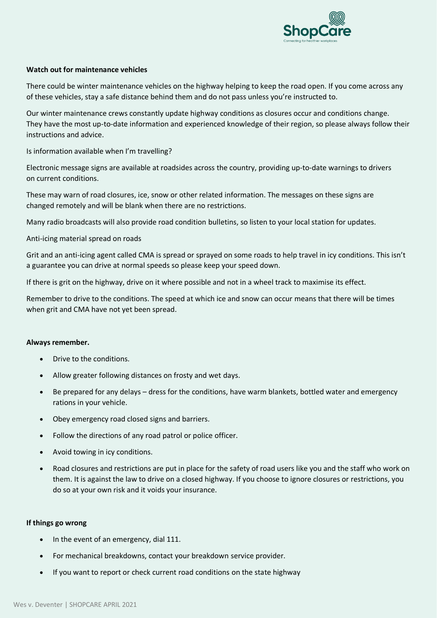

#### **Watch out for maintenance vehicles**

There could be winter maintenance vehicles on the highway helping to keep the road open. If you come across any of these vehicles, stay a safe distance behind them and do not pass unless you're instructed to.

Our winter maintenance crews constantly update highway conditions as closures occur and conditions change. They have the most up-to-date information and experienced knowledge of their region, so please always follow their instructions and advice.

Is information available when I'm travelling?

Electronic message signs are available at roadsides across the country, providing up-to-date warnings to drivers on current conditions.

These may warn of road closures, ice, snow or other related information. The messages on these signs are changed remotely and will be blank when there are no restrictions.

Many radio broadcasts will also provide road condition bulletins, so listen to your local station for updates.

Anti-icing material spread on roads

Grit and an anti-icing agent called CMA is spread or sprayed on some roads to help travel in icy conditions. This isn't a guarantee you can drive at normal speeds so please keep your speed down.

If there is grit on the highway, drive on it where possible and not in a wheel track to maximise its effect.

Remember to drive to the conditions. The speed at which ice and snow can occur means that there will be times when grit and CMA have not yet been spread.

#### **Always remember.**

- Drive to the conditions.
- Allow greater following distances on frosty and wet days.
- Be prepared for any delays dress for the conditions, have warm blankets, bottled water and emergency rations in your vehicle.
- Obey emergency road closed signs and barriers.
- Follow the directions of any road patrol or police officer.
- Avoid towing in icy conditions.
- Road closures and restrictions are put in place for the safety of road users like you and the staff who work on them. It is against the law to drive on a closed highway. If you choose to ignore closures or restrictions, you do so at your own risk and it voids your insurance.

#### **If things go wrong**

- In the event of an emergency, dial 111.
- For mechanical breakdowns, contact your breakdown service provider.
- If you want to report or check current road conditions on the state highway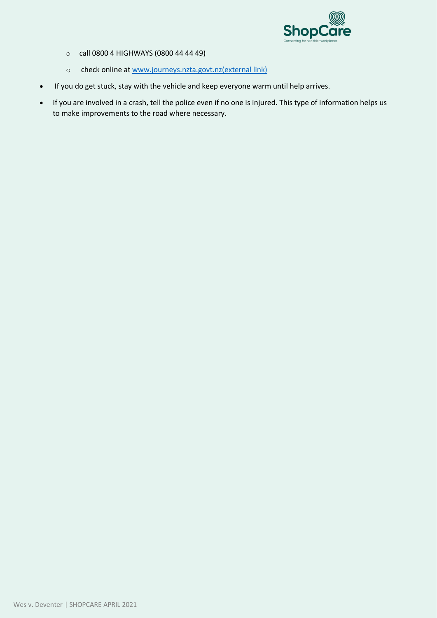

- o call 0800 4 HIGHWAYS (0800 44 44 49)
- o check online at [www.journeys.nzta.govt.nz\(external link\)](http://www.journeys.nzta.govt.nz/)
- If you do get stuck, stay with the vehicle and keep everyone warm until help arrives.
- If you are involved in a crash, tell the police even if no one is injured. This type of information helps us to make improvements to the road where necessary.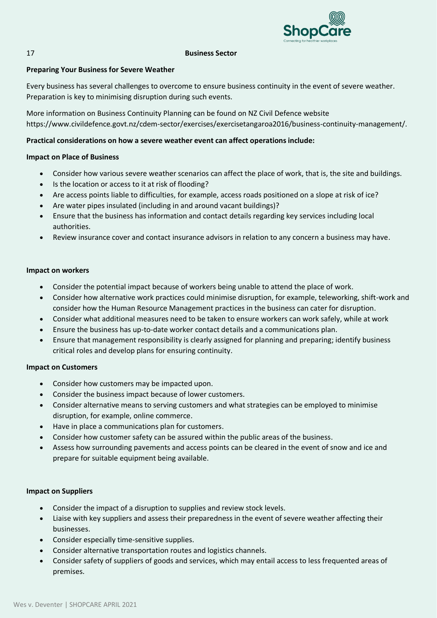

#### 17 **Business Sector**

#### **Preparing Your Business for Severe Weather**

Every business has several challenges to overcome to ensure business continuity in the event of severe weather. Preparation is key to minimising disruption during such events.

More information on Business Continuity Planning can be found on NZ Civil Defence website https://www.civildefence.govt.nz/cdem-sector/exercises/exercisetangaroa2016/business-continuity-management/.

#### **Practical considerations on how a severe weather event can affect operations include:**

#### **Impact on Place of Business**

- Consider how various severe weather scenarios can affect the place of work, that is, the site and buildings.
- Is the location or access to it at risk of flooding?
- Are access points liable to difficulties, for example, access roads positioned on a slope at risk of ice?
- Are water pipes insulated (including in and around vacant buildings)?
- Ensure that the business has information and contact details regarding key services including local authorities.
- Review insurance cover and contact insurance advisors in relation to any concern a business may have.

#### **Impact on workers**

- Consider the potential impact because of workers being unable to attend the place of work.
- Consider how alternative work practices could minimise disruption, for example, teleworking, shift-work and consider how the Human Resource Management practices in the business can cater for disruption.
- Consider what additional measures need to be taken to ensure workers can work safely, while at work
- Ensure the business has up-to-date worker contact details and a communications plan.
- Ensure that management responsibility is clearly assigned for planning and preparing; identify business critical roles and develop plans for ensuring continuity.

#### **Impact on Customers**

- Consider how customers may be impacted upon.
- Consider the business impact because of lower customers.
- Consider alternative means to serving customers and what strategies can be employed to minimise disruption, for example, online commerce.
- Have in place a communications plan for customers.
- Consider how customer safety can be assured within the public areas of the business.
- Assess how surrounding pavements and access points can be cleared in the event of snow and ice and prepare for suitable equipment being available.

#### **Impact on Suppliers**

- Consider the impact of a disruption to supplies and review stock levels.
- Liaise with key suppliers and assess their preparedness in the event of severe weather affecting their businesses.
- Consider especially time-sensitive supplies.
- Consider alternative transportation routes and logistics channels.
- Consider safety of suppliers of goods and services, which may entail access to less frequented areas of premises.